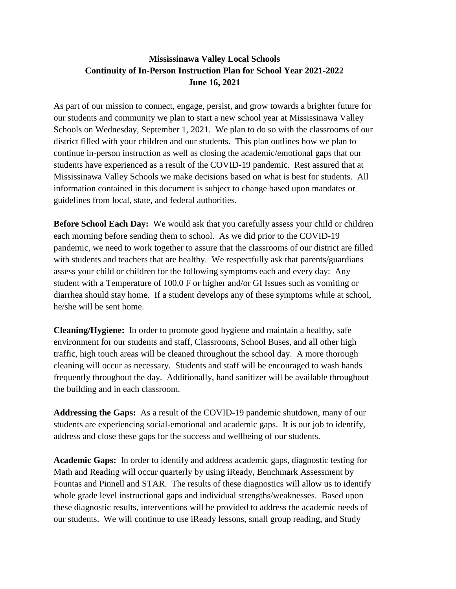## **Mississinawa Valley Local Schools Continuity of In-Person Instruction Plan for School Year 2021-2022 June 16, 2021**

As part of our mission to connect, engage, persist, and grow towards a brighter future for our students and community we plan to start a new school year at Mississinawa Valley Schools on Wednesday, September 1, 2021. We plan to do so with the classrooms of our district filled with your children and our students. This plan outlines how we plan to continue in-person instruction as well as closing the academic/emotional gaps that our students have experienced as a result of the COVID-19 pandemic. Rest assured that at Mississinawa Valley Schools we make decisions based on what is best for students. All information contained in this document is subject to change based upon mandates or guidelines from local, state, and federal authorities.

**Before School Each Day:** We would ask that you carefully assess your child or children each morning before sending them to school. As we did prior to the COVID-19 pandemic, we need to work together to assure that the classrooms of our district are filled with students and teachers that are healthy. We respectfully ask that parents/guardians assess your child or children for the following symptoms each and every day: Any student with a Temperature of 100.0 F or higher and/or GI Issues such as vomiting or diarrhea should stay home. If a student develops any of these symptoms while at school, he/she will be sent home.

**Cleaning/Hygiene:** In order to promote good hygiene and maintain a healthy, safe environment for our students and staff, Classrooms, School Buses, and all other high traffic, high touch areas will be cleaned throughout the school day. A more thorough cleaning will occur as necessary. Students and staff will be encouraged to wash hands frequently throughout the day. Additionally, hand sanitizer will be available throughout the building and in each classroom.

**Addressing the Gaps:** As a result of the COVID-19 pandemic shutdown, many of our students are experiencing social-emotional and academic gaps. It is our job to identify, address and close these gaps for the success and wellbeing of our students.

**Academic Gaps:** In order to identify and address academic gaps, diagnostic testing for Math and Reading will occur quarterly by using iReady, Benchmark Assessment by Fountas and Pinnell and STAR. The results of these diagnostics will allow us to identify whole grade level instructional gaps and individual strengths/weaknesses. Based upon these diagnostic results, interventions will be provided to address the academic needs of our students. We will continue to use iReady lessons, small group reading, and Study